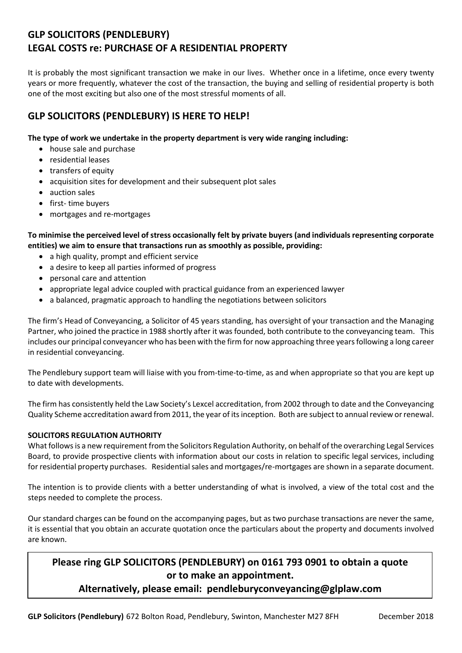# **GLP SOLICITORS (PENDLEBURY) LEGAL COSTS re: PURCHASE OF A RESIDENTIAL PROPERTY**

It is probably the most significant transaction we make in our lives. Whether once in a lifetime, once every twenty years or more frequently, whatever the cost of the transaction, the buying and selling of residential property is both one of the most exciting but also one of the most stressful moments of all.

## **GLP SOLICITORS (PENDLEBURY) IS HERE TO HELP!**

### **The type of work we undertake in the property department is very wide ranging including:**

- house sale and purchase
- residential leases
- transfers of equity
- acquisition sites for development and their subsequent plot sales
- auction sales
- first- time buyers
- mortgages and re-mortgages

**To minimise the perceived level of stress occasionally felt by private buyers (and individuals representing corporate entities) we aim to ensure that transactions run as smoothly as possible, providing:**

- a high quality, prompt and efficient service
- a desire to keep all parties informed of progress
- personal care and attention
- appropriate legal advice coupled with practical guidance from an experienced lawyer
- a balanced, pragmatic approach to handling the negotiations between solicitors

The firm's Head of Conveyancing, a Solicitor of 45 years standing, has oversight of your transaction and the Managing Partner, who joined the practice in 1988 shortly after it was founded, both contribute to the conveyancing team. This includes our principal conveyancer who has been with the firm for now approaching three years following a long career in residential conveyancing.

The Pendlebury support team will liaise with you from-time-to-time, as and when appropriate so that you are kept up to date with developments.

The firm has consistently held the Law Society's Lexcel accreditation, from 2002 through to date and the Conveyancing Quality Scheme accreditation award from 2011, the year of its inception. Both are subject to annual review or renewal.

## **SOLICITORS REGULATION AUTHORITY**

What follows is a new requirement from the Solicitors Regulation Authority, on behalf of the overarching Legal Services Board, to provide prospective clients with information about our costs in relation to specific legal services, including for residential property purchases. Residential sales and mortgages/re-mortgages are shown in a separate document.

The intention is to provide clients with a better understanding of what is involved, a view of the total cost and the steps needed to complete the process.

Our standard charges can be found on the accompanying pages, but as two purchase transactions are never the same, it is essential that you obtain an accurate quotation once the particulars about the property and documents involved are known.

## **Please ring GLP SOLICITORS (PENDLEBURY) on 0161 793 0901 to obtain a quote or to make an appointment.**

## **Alternatively, please email: pendleburyconveyancing@glplaw.com**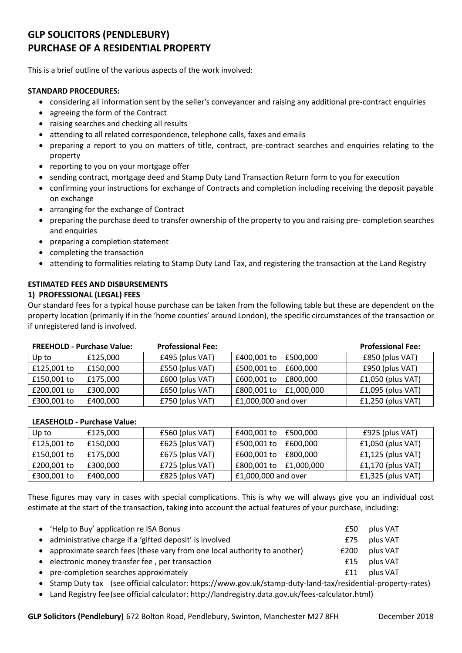# **GLP SOLICITORS (PENDLEBURY) PURCHASE OF A RESIDENTIAL PROPERTY**

This is a brief outline of the various aspects of the work involved:

### **STANDARD PROCEDURES:**

- considering all information sent by the seller's conveyancer and raising any additional pre-contract enquiries
- agreeing the form of the Contract
- raising searches and checking all results
- attending to all related correspondence, telephone calls, faxes and emails
- preparing a report to you on matters of title, contract, pre-contract searches and enquiries relating to the property
- reporting to you on your mortgage offer
- sending contract, mortgage deed and Stamp Duty Land Transaction Return form to you for execution
- confirming your instructions for exchange of Contracts and completion including receiving the deposit payable on exchange
- arranging for the exchange of Contract
- preparing the purchase deed to transfer ownership of the property to you and raising pre- completion searches and enquiries
- preparing a completion statement
- completing the transaction
- attending to formalities relating to Stamp Duty Land Tax, and registering the transaction at the Land Registry

### **ESTIMATED FEES AND DISBURSEMENTS**

#### **1) PROFESSIONAL (LEGAL) FEES**

Our standard fees for a typical house purchase can be taken from the following table but these are dependent on the property location (primarily if in the 'home counties' around London), the specific circumstances of the transaction or if unregistered land is involved.

| <b>FREEHOLD - Purchase Value:</b> |          | <b>Professional Fee:</b> |                     |            | <b>Professional Fee:</b> |
|-----------------------------------|----------|--------------------------|---------------------|------------|--------------------------|
| Up to                             | £125,000 | £495 (plus VAT)          | £400,001 to         | £500.000   | £850 (plus VAT)          |
| £125,001 to                       | £150,000 | £550 (plus VAT)          | £500,001 to         | £600,000   | £950 (plus VAT)          |
| £150,001 to                       | £175,000 | £600 (plus VAT)          | £600,001 to         | £800,000   | $f1,050$ (plus VAT)      |
| £200,001 to                       | £300,000 | £650 (plus VAT)          | £800,001 to         | £1,000,000 | $f1,095$ (plus VAT)      |
| £300,001 to                       | £400,000 | £750 (plus VAT)          | £1,000,000 and over |            | $f1,250$ (plus VAT)      |

#### **LEASEHOLD - Purchase Value:**

| Up to       | £125,000 | £560 (plus VAT)   | £400,001 to         | £500,000       | £925 (plus VAT)     |
|-------------|----------|-------------------|---------------------|----------------|---------------------|
| £125,001 to | £150,000 | $£625$ (plus VAT) | £500,001 to         | £600.000       | $f1,050$ (plus VAT) |
| £150,001 to | £175,000 | £675 (plus VAT)   | £600,001 to         | £800.000       | $f1,125$ (plus VAT) |
| £200,001 to | £300,000 | £725 (plus VAT)   | £800,001 to         | $ $ £1,000,000 | $f1,170$ (plus VAT) |
| £300,001 to | £400,000 | £825 (plus VAT)   | £1,000,000 and over |                | $f1,325$ (plus VAT) |

These figures may vary in cases with special complications. This is why we will always give you an individual cost estimate at the start of the transaction, taking into account the actual features of your purchase, including:

| • 'Help to Buy' application re ISA Bonus                                   | £50  | plus VAT |
|----------------------------------------------------------------------------|------|----------|
| • administrative charge if a 'gifted deposit' is involved                  | £75  | plus VAT |
| • approximate search fees (these vary from one local authority to another) | £200 | plus VAT |
| • electronic money transfer fee, per transaction                           | f15  | plus VAT |
| • pre-completion searches approximately                                    | £11  | plus VAT |
|                                                                            |      |          |

Stamp Duty tax (see official calculator: https://www.gov.uk/stamp-duty-land-tax/residential-property-rates)

Land Registry fee(see official calculator: http://landregistry.data.gov.uk/fees-calculator.html)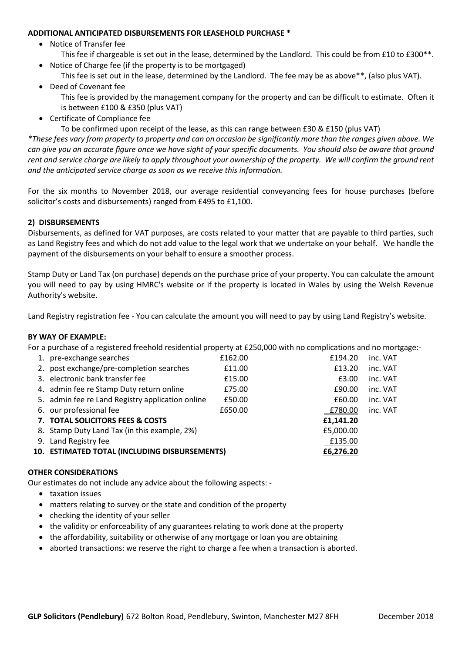#### **ADDITIONAL ANTICIPATED DISBURSEMENTS FOR LEASEHOLD PURCHASE \***

- Notice of Transfer fee
- This fee if chargeable is set out in the lease, determined by the Landlord. This could be from £10 to £300\*\*. Notice of Charge fee (if the property is to be mortgaged)
- This fee is set out in the lease, determined by the Landlord. The fee may be as above\*\*, (also plus VAT).
- Deed of Covenant fee This fee is provided by the management company for the property and can be difficult to estimate. Often it is between £100 & £350 (plus VAT)
- Certificate of Compliance fee

To be confirmed upon receipt of the lease, as this can range between £30 & £150 (plus VAT)

*\*These fees vary from property to property and can on occasion be significantly more than the ranges given above. We can give you an accurate figure once we have sight of your specific documents. You should also be aware that ground rent and service charge are likely to apply throughout your ownership of the property. We will confirm the ground rent and the anticipated service charge as soon as we receive this information.* 

For the six months to November 2018, our average residential conveyancing fees for house purchases (before solicitor's costs and disbursements) ranged from £495 to £1,100.

## **2) DISBURSEMENTS**

Disbursements, as defined for VAT purposes, are costs related to your matter that are payable to third parties, such as Land Registry fees and which do not add value to the legal work that we undertake on your behalf. We handle the payment of the disbursements on your behalf to ensure a smoother process.

Stamp Duty or Land Tax (on purchase) depends on the purchase price of your property. You can calculate the amount you will need to pay by using HMRC's website or if the property is located in Wales by using the Welsh Revenue Authority's website.

Land Registry registration fee - You can calculate the amount you will need to pay by using Land Registry's website.

#### **BY WAY OF EXAMPLE:**

For a purchase of a registered freehold residential property at £250,000 with no complications and no mortgage:-

| 1. pre-exchange searches                         | £162.00 | £194.20   | inc. VAT |
|--------------------------------------------------|---------|-----------|----------|
| 2. post exchange/pre-completion searches         | £11.00  | £13.20    | inc. VAT |
| 3. electronic bank transfer fee                  | £15.00  | £3.00     | inc. VAT |
| 4. admin fee re Stamp Duty return online         | £75.00  | £90.00    | inc. VAT |
| 5. admin fee re Land Registry application online | £50.00  | £60.00    | inc. VAT |
| 6. our professional fee                          | £650.00 | £780.00   | inc. VAT |
| 7. TOTAL SOLICITORS FEES & COSTS                 |         | £1,141.20 |          |
| 8. Stamp Duty Land Tax (in this example, 2%)     |         | £5,000.00 |          |
| 9. Land Registry fee                             |         | £135.00   |          |
| 10. ESTIMATED TOTAL (INCLUDING DISBURSEMENTS)    |         | £6,276.20 |          |
|                                                  |         |           |          |

#### **OTHER CONSIDERATIONS**

Our estimates do not include any advice about the following aspects: -

- taxation issues
- matters relating to survey or the state and condition of the property
- checking the identity of your seller
- the validity or enforceability of any guarantees relating to work done at the property
- the affordability, suitability or otherwise of any mortgage or loan you are obtaining
- $\bullet$  aborted transactions: we reserve the right to charge a fee when a transaction is aborted.